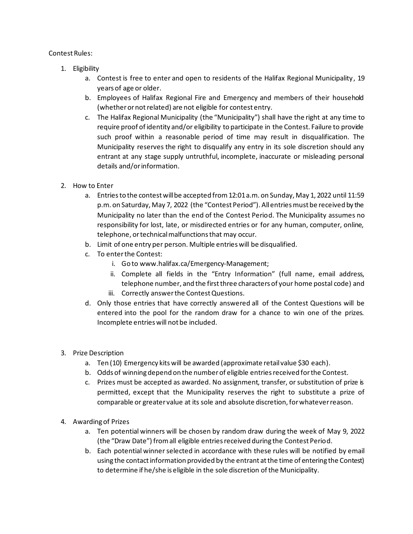## Contest Rules:

- 1. Eligibility
	- a. Contest is free to enter and open to residents of the Halifax Regional Municipality, 19 years of age or older.
	- b. Employees of Halifax Regional Fire and Emergency and members of their household (whether or not related) are not eligible for contest entry.
	- c. The Halifax Regional Municipality (the "Municipality") shall have the right at any time to require proof of identity and/or eligibility to participate in the Contest. Failure to provide such proof within a reasonable period of time may result in disqualification. The Municipality reserves the right to disqualify any entry in its sole discretion should any entrant at any stage supply untruthful, incomplete, inaccurate or misleading personal details and/or information.
- 2. How to Enter
	- a. Entriesto the contest will be accepted from 12:01a.m. on Sunday, May 1, 2022 until 11:59 p.m. on Saturday, May 7, 2022 (the "Contest Period"). All entries must be received by the Municipality no later than the end of the Contest Period. The Municipality assumes no responsibility for lost, late, or misdirected entries or for any human, computer, online, telephone, or technical malfunctions that may occur.
	- b. Limit of one entry per person. Multiple entries will be disqualified.
	- c. To enter the Contest:
		- i. Go to www.halifax.ca/Emergency-Management;
		- ii. Complete all fields in the "Entry Information" (full name, email address, telephone number, and the first three characters of your home postal code) and
		- iii. Correctly answer the Contest Questions.
	- d. Only those entries that have correctly answered all of the Contest Questions will be entered into the pool for the random draw for a chance to win one of the prizes. Incomplete entries will not be included.
- 3. Prize Description
	- a. Ten (10) Emergency kits will be awarded (approximate retail value \$30 each).
	- b. Odds of winning depend on the number of eligible entries received for the Contest.
	- c. Prizes must be accepted as awarded. No assignment, transfer, or substitution of prize is permitted, except that the Municipality reserves the right to substitute a prize of comparable or greater value at its sole and absolute discretion, for whatever reason.
- 4. Awarding of Prizes
	- a. Ten potential winners will be chosen by random draw during the week of May 9, 2022 (the "Draw Date") from all eligible entries received during the Contest Period.
	- b. Each potential winner selected in accordance with these rules will be notified by email using the contact information provided by the entrant at the time of entering the Contest) to determine if he/she is eligible in the sole discretion of the Municipality.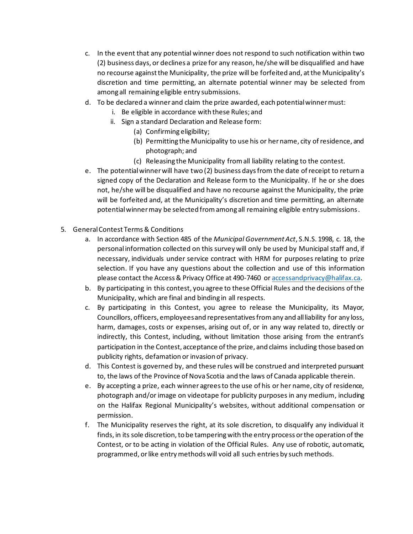- c. In the event that any potential winner does not respond to such notification within two (2) business days, or declines a prize for any reason, he/she will be disqualified and have no recourse against the Municipality, the prize will be forfeited and, at the Municipality's discretion and time permitting, an alternate potential winner may be selected from among all remaining eligible entry submissions.
- d. To be declared a winner and claim the prize awarded, each potential winner must:
	- i. Be eligible in accordance with these Rules; and
	- ii. Sign a standard Declaration and Release form:
		- (a) Confirming eligibility;
		- (b) Permitting the Municipality to use his or her name, city of residence, and photograph; and
		- (c) Releasing the Municipality from all liability relating to the contest.
- e. The potential winner will have two (2) business days from the date of receipt to return a signed copy of the Declaration and Release form to the Municipality. If he or she does not, he/she will be disqualified and have no recourse against the Municipality, the prize will be forfeited and, at the Municipality's discretion and time permitting, an alternate potential winner may be selected from among all remaining eligible entry submissions.
- 5. General Contest Terms & Conditions
	- a. In accordance with Section 485 of the *Municipal Government Act*, S.N.S. 1998, c. 18, the personal information collected on this survey will only be used by Municipalstaff and, if necessary, individuals under service contract with HRM for purposes relating to prize selection. If you have any questions about the collection and use of this information please contact the Access & Privacy Office at 490-7460 o[r accessandprivacy@halifax.ca.](mailto:accessandprivacy@halifax.ca)
	- b. By participating in this contest, you agree to these Official Rules and the decisions of the Municipality, which are final and binding in all respects.
	- c. By participating in this Contest, you agree to release the Municipality, its Mayor, Councillors, officers, employees and representatives from any and all liability for any loss, harm, damages, costs or expenses, arising out of, or in any way related to, directly or indirectly, this Contest, including, without limitation those arising from the entrant's participation in the Contest, acceptance of the prize, and claims including those based on publicity rights, defamation or invasion of privacy.
	- d. This Contest is governed by, and these rules will be construed and interpreted pursuant to, the laws of the Province of Nova Scotia and the laws of Canada applicable therein.
	- e. By accepting a prize, each winner agreesto the use of his or her name, city of residence, photograph and/or image on videotape for publicity purposes in any medium, including on the Halifax Regional Municipality's websites, without additional compensation or permission.
	- f. The Municipality reserves the right, at its sole discretion, to disqualify any individual it finds, in its sole discretion, to be tampering with the entry process or the operation of the Contest, or to be acting in violation of the Official Rules. Any use of robotic, automatic, programmed, or like entry methods will void all such entries by such methods.